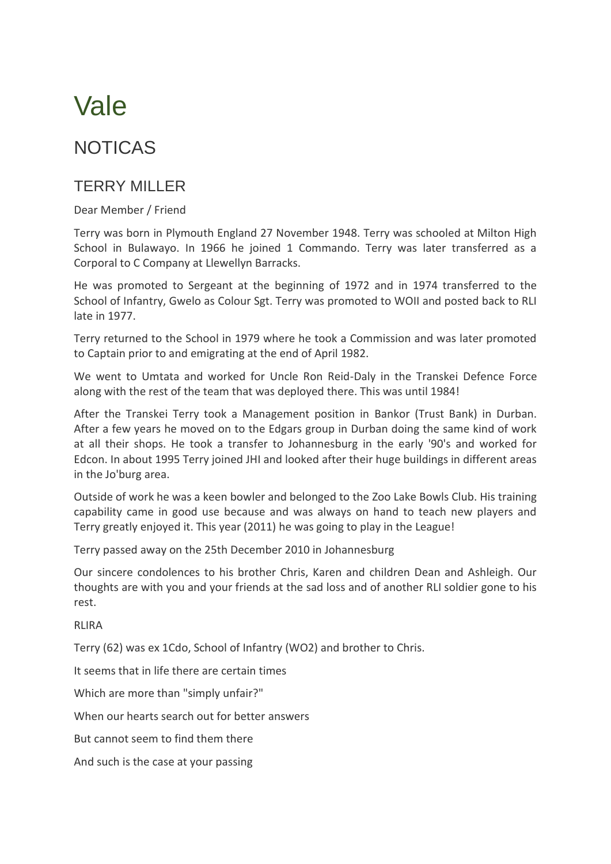## Vale

## NOTICAS

## TERRY MILLER

Dear Member / Friend

Terry was born in Plymouth England 27 November 1948. Terry was schooled at Milton High School in Bulawayo. In 1966 he joined 1 Commando. Terry was later transferred as a Corporal to C Company at Llewellyn Barracks.

He was promoted to Sergeant at the beginning of 1972 and in 1974 transferred to the School of Infantry, Gwelo as Colour Sgt. Terry was promoted to WOII and posted back to RLI late in 1977.

Terry returned to the School in 1979 where he took a Commission and was later promoted to Captain prior to and emigrating at the end of April 1982.

We went to Umtata and worked for Uncle Ron Reid-Daly in the Transkei Defence Force along with the rest of the team that was deployed there. This was until 1984!

After the Transkei Terry took a Management position in Bankor (Trust Bank) in Durban. After a few years he moved on to the Edgars group in Durban doing the same kind of work at all their shops. He took a transfer to Johannesburg in the early '90's and worked for Edcon. In about 1995 Terry joined JHI and looked after their huge buildings in different areas in the Jo'burg area.

Outside of work he was a keen bowler and belonged to the Zoo Lake Bowls Club. His training capability came in good use because and was always on hand to teach new players and Terry greatly enjoyed it. This year (2011) he was going to play in the League!

Terry passed away on the 25th December 2010 in Johannesburg

Our sincere condolences to his brother Chris, Karen and children Dean and Ashleigh. Our thoughts are with you and your friends at the sad loss and of another RLI soldier gone to his rest.

**RLIRA** 

Terry (62) was ex 1Cdo, School of Infantry (WO2) and brother to Chris.

It seems that in life there are certain times

Which are more than "simply unfair?"

When our hearts search out for better answers

But cannot seem to find them there

And such is the case at your passing